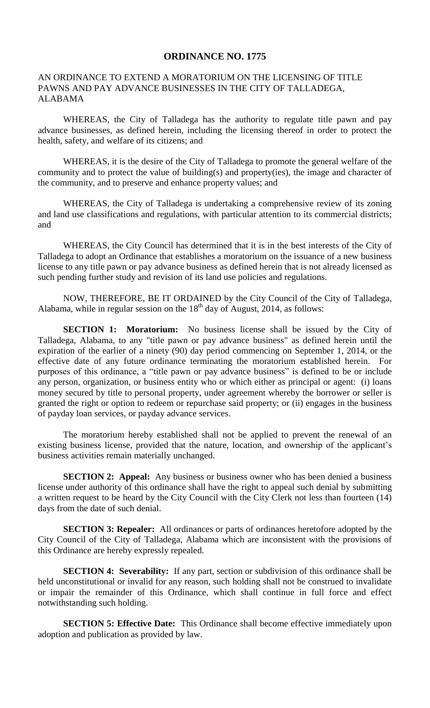## **ORDINANCE NO. 1775**

## AN ORDINANCE TO EXTEND A MORATORIUM ON THE LICENSING OF TITLE PAWNS AND PAY ADVANCE BUSINESSES IN THE CITY OF TALLADEGA, ALABAMA

WHEREAS, the City of Talladega has the authority to regulate title pawn and pay advance businesses, as defined herein, including the licensing thereof in order to protect the health, safety, and welfare of its citizens; and

WHEREAS, it is the desire of the City of Talladega to promote the general welfare of the community and to protect the value of building(s) and property(ies), the image and character of the community, and to preserve and enhance property values; and

WHEREAS, the City of Talladega is undertaking a comprehensive review of its zoning and land use classifications and regulations, with particular attention to its commercial districts; and

WHEREAS, the City Council has determined that it is in the best interests of the City of Talladega to adopt an Ordinance that establishes a moratorium on the issuance of a new business license to any title pawn or pay advance business as defined herein that is not already licensed as such pending further study and revision of its land use policies and regulations.

NOW, THEREFORE, BE IT ORDAINED by the City Council of the City of Talladega, Alabama, while in regular session on the  $18<sup>th</sup>$  day of August, 2014, as follows:

**SECTION 1: Moratorium:** No business license shall be issued by the City of Talladega, Alabama, to any "title pawn or pay advance business" as defined herein until the expiration of the earlier of a ninety (90) day period commencing on September 1, 2014, or the effective date of any future ordinance terminating the moratorium established herein. For purposes of this ordinance, a "title pawn or pay advance business" is defined to be or include any person, organization, or business entity who or which either as principal or agent: (i) loans money secured by title to personal property, under agreement whereby the borrower or seller is granted the right or option to redeem or repurchase said property; or (ii) engages in the business of payday loan services, or payday advance services.

The moratorium hereby established shall not be applied to prevent the renewal of an existing business license, provided that the nature, location, and ownership of the applicant's business activities remain materially unchanged.

**SECTION 2: Appeal:** Any business or business owner who has been denied a business license under authority of this ordinance shall have the right to appeal such denial by submitting a written request to be heard by the City Council with the City Clerk not less than fourteen (14) days from the date of such denial.

**SECTION 3: Repealer:** All ordinances or parts of ordinances heretofore adopted by the City Council of the City of Talladega, Alabama which are inconsistent with the provisions of this Ordinance are hereby expressly repealed.

**SECTION 4: Severability:** If any part, section or subdivision of this ordinance shall be held unconstitutional or invalid for any reason, such holding shall not be construed to invalidate or impair the remainder of this Ordinance, which shall continue in full force and effect notwithstanding such holding.

**SECTION 5: Effective Date:** This Ordinance shall become effective immediately upon adoption and publication as provided by law.